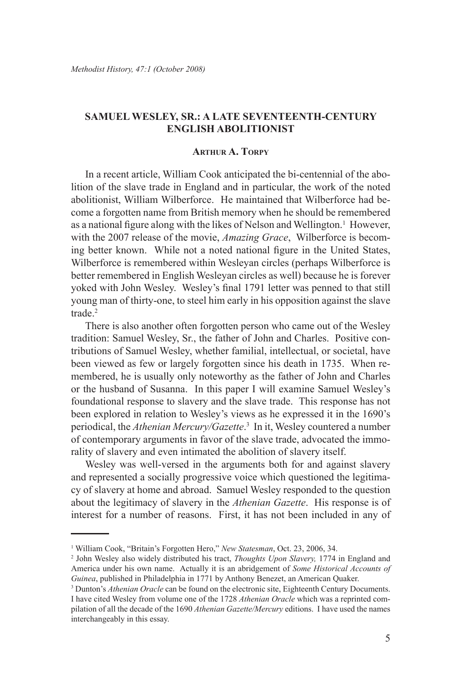# **Samuel Wesley, Sr.: A Late Seventeenth-Century English Abolitionist**

## **Arthur A. Torpy**

In a recent article, William Cook anticipated the bi-centennial of the abolition of the slave trade in England and in particular, the work of the noted abolitionist, William Wilberforce. He maintained that Wilberforce had become a forgotten name from British memory when he should be remembered as a national figure along with the likes of Nelson and Wellington.<sup>1</sup> However, with the 2007 release of the movie, *Amazing Grace*, Wilberforce is becoming better known. While not a noted national figure in the United States, Wilberforce is remembered within Wesleyan circles (perhaps Wilberforce is better remembered in English Wesleyan circles as well) because he is forever yoked with John Wesley. Wesley's final 1791 letter was penned to that still young man of thirty-one, to steel him early in his opposition against the slave trade.2

There is also another often forgotten person who came out of the Wesley tradition: Samuel Wesley, Sr., the father of John and Charles. Positive contributions of Samuel Wesley, whether familial, intellectual, or societal, have been viewed as few or largely forgotten since his death in 1735. When remembered, he is usually only noteworthy as the father of John and Charles or the husband of Susanna. In this paper I will examine Samuel Wesley's foundational response to slavery and the slave trade. This response has not been explored in relation to Wesley's views as he expressed it in the 1690's periodical, the *Athenian Mercury/Gazette*. 3 In it, Wesley countered a number of contemporary arguments in favor of the slave trade, advocated the immorality of slavery and even intimated the abolition of slavery itself.

Wesley was well-versed in the arguments both for and against slavery and represented a socially progressive voice which questioned the legitimacy of slavery at home and abroad. Samuel Wesley responded to the question about the legitimacy of slavery in the *Athenian Gazette*. His response is of interest for a number of reasons. First, it has not been included in any of

<sup>&</sup>lt;sup>1</sup> William Cook, "Britain's Forgotten Hero," *New Statesman*, Oct. 23, 2006, 34.

<sup>2</sup> John Wesley also widely distributed his tract, *Thoughts Upon Slavery,* 1774 in England and America under his own name. Actually it is an abridgement of *Some Historical Accounts of Guinea*, published in Philadelphia in 1771 by Anthony Benezet, an American Quaker.

<sup>&</sup>lt;sup>3</sup> Dunton's *Athenian Oracle* can be found on the electronic site, Eighteenth Century Documents. I have cited Wesley from volume one of the 1728 *Athenian Oracle* which was a reprinted compilation of all the decade of the 1690 *Athenian Gazette/Mercury* editions. I have used the names interchangeably in this essay.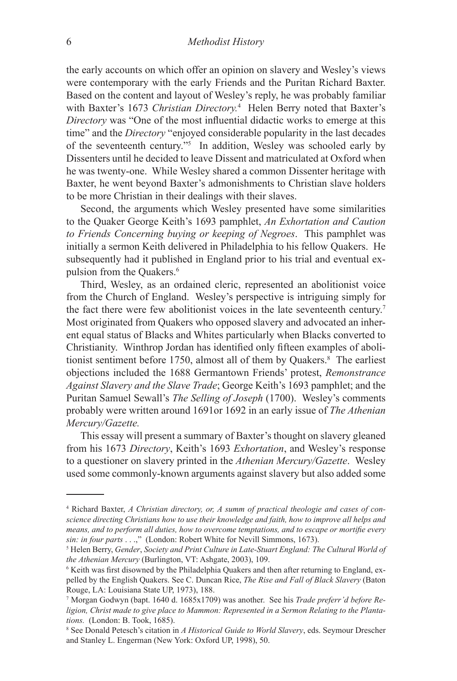the early accounts on which offer an opinion on slavery and Wesley's views were contemporary with the early Friends and the Puritan Richard Baxter. Based on the content and layout of Wesley's reply, he was probably familiar with Baxter's 1673 *Christian Directory.*<sup>4</sup> Helen Berry noted that Baxter's *Directory* was "One of the most influential didactic works to emerge at this time" and the *Directory* "enjoyed considerable popularity in the last decades of the seventeenth century."5 In addition, Wesley was schooled early by Dissenters until he decided to leave Dissent and matriculated at Oxford when he was twenty-one. While Wesley shared a common Dissenter heritage with Baxter, he went beyond Baxter's admonishments to Christian slave holders to be more Christian in their dealings with their slaves.

Second, the arguments which Wesley presented have some similarities to the Quaker George Keith's 1693 pamphlet, *An Exhortation and Caution to Friends Concerning buying or keeping of Negroes*. This pamphlet was initially a sermon Keith delivered in Philadelphia to his fellow Quakers. He subsequently had it published in England prior to his trial and eventual expulsion from the Quakers.<sup>6</sup>

Third, Wesley, as an ordained cleric, represented an abolitionist voice from the Church of England. Wesley's perspective is intriguing simply for the fact there were few abolitionist voices in the late seventeenth century.7 Most originated from Quakers who opposed slavery and advocated an inherent equal status of Blacks and Whites particularly when Blacks converted to Christianity. Winthrop Jordan has identified only fifteen examples of abolitionist sentiment before 1750, almost all of them by Quakers.8 The earliest objections included the 1688 Germantown Friends' protest, *Remonstrance Against Slavery and the Slave Trade*; George Keith's 1693 pamphlet; and the Puritan Samuel Sewall's *The Selling of Joseph* (1700). Wesley's comments probably were written around 1691or 1692 in an early issue of *The Athenian Mercury/Gazette.*

This essay will present a summary of Baxter's thought on slavery gleaned from his 1673 *Directory*, Keith's 1693 *Exhortation*, and Wesley's response to a questioner on slavery printed in the *Athenian Mercury/Gazette*. Wesley used some commonly-known arguments against slavery but also added some

<sup>4</sup> Richard Baxter, *A Christian directory, or, A summ of practical theologie and cases of conscience directing Christians how to use their knowledge and faith, how to improve all helps and means, and to perform all duties, how to overcome temptations, and to escape or mortifie every sin: in four parts* . . .," (London: Robert White for Nevill Simmons, 1673).

Helen Berry, *Gender*, *Society and Print Culture in Late-Stuart England: The Cultural World of the Athenian Mercury* (Burlington, VT: Ashgate, 2003), 109.

<sup>6</sup> Keith was first disowned by the Philadelphia Quakers and then after returning to England, expelled by the English Quakers. See C. Duncan Rice, *The Rise and Fall of Black Slavery* (Baton Rouge, LA: Louisiana State UP, 1973), 188.

<sup>7</sup> Morgan Godwyn (bapt. 1640 d. 1685x1709) was another. See his *Trade preferr'd before Religion, Christ made to give place to Mammon: Represented in a Sermon Relating to the Plantations.* (London: B. Took, 1685).

<sup>8</sup> See Donald Petesch's citation in *A Historical Guide to World Slavery*, eds. Seymour Drescher and Stanley L. Engerman (New York: Oxford UP, 1998), 50.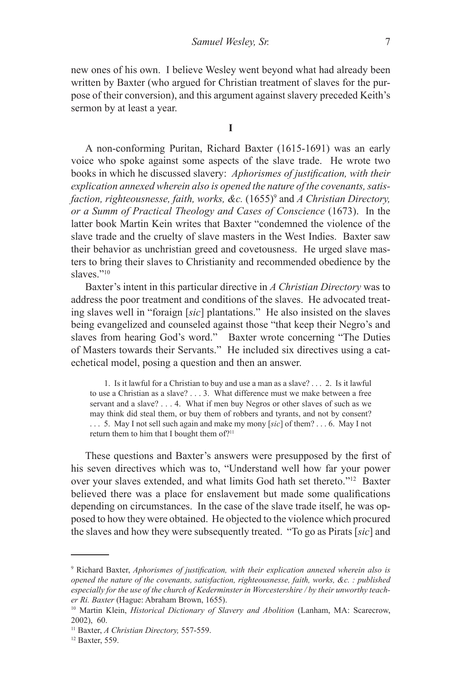new ones of his own. I believe Wesley went beyond what had already been written by Baxter (who argued for Christian treatment of slaves for the purpose of their conversion), and this argument against slavery preceded Keith's sermon by at least a year.

**I**

A non-conforming Puritan, Richard Baxter (1615-1691) was an early voice who spoke against some aspects of the slave trade. He wrote two books in which he discussed slavery: *Aphorismes of justification, with their explication annexed wherein also is opened the nature of the covenants, satisfaction, righteousnesse, faith, works, &c.* (1655)<sup>9</sup> and *A Christian Directory, or a Summ of Practical Theology and Cases of Conscience* (1673). In the latter book Martin Kein writes that Baxter "condemned the violence of the slave trade and the cruelty of slave masters in the West Indies. Baxter saw their behavior as unchristian greed and covetousness. He urged slave masters to bring their slaves to Christianity and recommended obedience by the slaves."<sup>10</sup>

Baxter's intent in this particular directive in *A Christian Directory* was to address the poor treatment and conditions of the slaves. He advocated treating slaves well in "foraign [*sic*] plantations." He also insisted on the slaves being evangelized and counseled against those "that keep their Negro's and slaves from hearing God's word." Baxter wrote concerning "The Duties of Masters towards their Servants." He included six directives using a catechetical model, posing a question and then an answer.

1. Is it lawful for a Christian to buy and use a man as a slave? . . . 2. Is it lawful to use a Christian as a slave? . . . 3. What difference must we make between a free servant and a slave? . . . 4. What if men buy Negros or other slaves of such as we may think did steal them, or buy them of robbers and tyrants, and not by consent? . . . 5. May I not sell such again and make my mony [*sic*] of them? . . . 6. May I not return them to him that I bought them of?<sup>11</sup>

These questions and Baxter's answers were presupposed by the first of his seven directives which was to, "Understand well how far your power over your slaves extended, and what limits God hath set thereto."12 Baxter believed there was a place for enslavement but made some qualifications depending on circumstances. In the case of the slave trade itself, he was opposed to how they were obtained. He objected to the violence which procured the slaves and how they were subsequently treated. "To go as Pirats [*sic*] and

<sup>9</sup> Richard Baxter, *Aphorismes of justification, with their explication annexed wherein also is opened the nature of the covenants, satisfaction, righteousnesse, faith, works, &c. : published especially for the use of the church of Kederminster in Worcestershire / by their unworthy teacher Ri. Baxter* (Hague: Abraham Brown, 1655).

<sup>10</sup> Martin Klein, *Historical Dictionary of Slavery and Abolition* (Lanham, MA: Scarecrow, 2002), 60.

<sup>11</sup> Baxter, *A Christian Directory,* 557-559.

<sup>12</sup> Baxter, 559.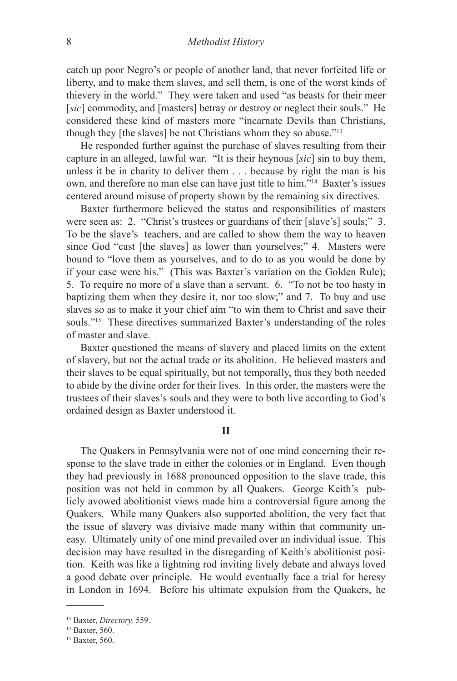catch up poor Negro's or people of another land, that never forfeited life or liberty, and to make them slaves, and sell them, is one of the worst kinds of thievery in the world." They were taken and used "as beasts for their meer [*sic*] commodity, and [masters] betray or destroy or neglect their souls." He considered these kind of masters more "incarnate Devils than Christians, though they [the slaves] be not Christians whom they so abuse."13

He responded further against the purchase of slaves resulting from their capture in an alleged, lawful war. "It is their heynous [*sic*] sin to buy them, unless it be in charity to deliver them . . . because by right the man is his own, and therefore no man else can have just title to him."14 Baxter's issues centered around misuse of property shown by the remaining six directives.

Baxter furthermore believed the status and responsibilities of masters were seen as: 2. "Christ's trustees or guardians of their [slave's] souls;" 3. To be the slave's teachers, and are called to show them the way to heaven since God "cast [the slaves] as lower than yourselves;" 4. Masters were bound to "love them as yourselves, and to do to as you would be done by if your case were his." (This was Baxter's variation on the Golden Rule); 5. To require no more of a slave than a servant. 6. "To not be too hasty in baptizing them when they desire it, nor too slow;" and 7. To buy and use slaves so as to make it your chief aim "to win them to Christ and save their souls."15 These directives summarized Baxter's understanding of the roles of master and slave.

Baxter questioned the means of slavery and placed limits on the extent of slavery, but not the actual trade or its abolition. He believed masters and their slaves to be equal spiritually, but not temporally, thus they both needed to abide by the divine order for their lives. In this order, the masters were the trustees of their slaves's souls and they were to both live according to God's ordained design as Baxter understood it.

**II**

The Quakers in Pennsylvania were not of one mind concerning their response to the slave trade in either the colonies or in England. Even though they had previously in 1688 pronounced opposition to the slave trade, this position was not held in common by all Quakers. George Keith's publicly avowed abolitionist views made him a controversial figure among the Quakers. While many Quakers also supported abolition, the very fact that the issue of slavery was divisive made many within that community uneasy. Ultimately unity of one mind prevailed over an individual issue. This decision may have resulted in the disregarding of Keith's abolitionist position. Keith was like a lightning rod inviting lively debate and always loved a good debate over principle. He would eventually face a trial for heresy in London in 1694. Before his ultimate expulsion from the Quakers, he

<sup>13</sup> Baxter, *Directory,* 559.

<sup>14</sup> Baxter, 560.

<sup>&</sup>lt;sup>15</sup> Baxter, 560.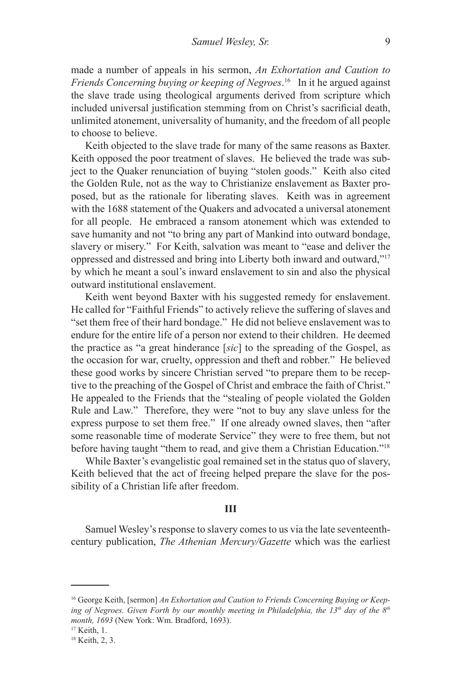made a number of appeals in his sermon, *An Exhortation and Caution to Friends Concerning buying or keeping of Negroes*. 16 In it he argued against the slave trade using theological arguments derived from scripture which included universal justification stemming from on Christ's sacrificial death, unlimited atonement, universality of humanity, and the freedom of all people to choose to believe.

Keith objected to the slave trade for many of the same reasons as Baxter. Keith opposed the poor treatment of slaves. He believed the trade was subject to the Quaker renunciation of buying "stolen goods." Keith also cited the Golden Rule, not as the way to Christianize enslavement as Baxter proposed, but as the rationale for liberating slaves. Keith was in agreement with the 1688 statement of the Quakers and advocated a universal atonement for all people. He embraced a ransom atonement which was extended to save humanity and not "to bring any part of Mankind into outward bondage, slavery or misery." For Keith, salvation was meant to "ease and deliver the oppressed and distressed and bring into Liberty both inward and outward,"17 by which he meant a soul's inward enslavement to sin and also the physical outward institutional enslavement.

Keith went beyond Baxter with his suggested remedy for enslavement. He called for "Faithful Friends" to actively relieve the suffering of slaves and "set them free of their hard bondage." He did not believe enslavement was to endure for the entire life of a person nor extend to their children. He deemed the practice as "a great hinderance [*sic*] to the spreading of the Gospel, as the occasion for war, cruelty, oppression and theft and robber." He believed these good works by sincere Christian served "to prepare them to be receptive to the preaching of the Gospel of Christ and embrace the faith of Christ." He appealed to the Friends that the "stealing of people violated the Golden Rule and Law." Therefore, they were "not to buy any slave unless for the express purpose to set them free." If one already owned slaves, then "after some reasonable time of moderate Service" they were to free them, but not before having taught "them to read, and give them a Christian Education."18

While Baxter's evangelistic goal remained set in the status quo of slavery, Keith believed that the act of freeing helped prepare the slave for the possibility of a Christian life after freedom.

# **III**

Samuel Wesley's response to slavery comes to us via the late seventeenthcentury publication, *The Athenian Mercury/Gazette* which was the earliest

<sup>&</sup>lt;sup>16</sup> George Keith, [sermon] *An Exhortation and Caution to Friends Concerning Buying or Keep*ing of Negroes. Given Forth by our monthly meeting in Philadelphia, the 13<sup>th</sup> day of the 8<sup>th</sup> *month, 1693* (New York: Wm. Bradford, 1693).

<sup>&</sup>lt;sup>17</sup> Keith, 1.

<sup>18</sup> Keith, 2, 3.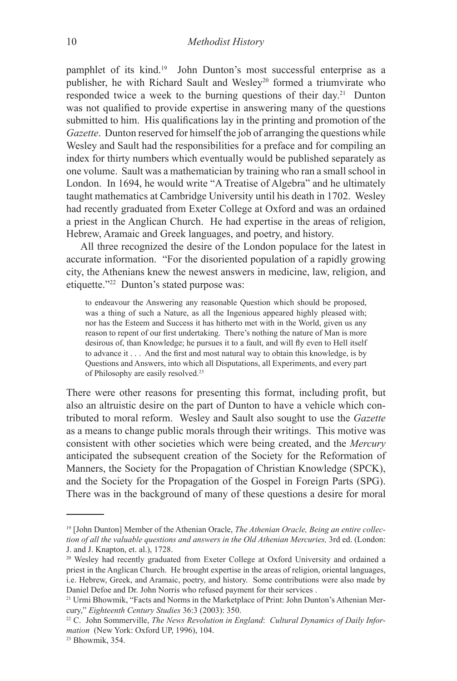pamphlet of its kind.<sup>19</sup> John Dunton's most successful enterprise as a publisher, he with Richard Sault and Wesley20 formed a triumvirate who responded twice a week to the burning questions of their day.21 Dunton was not qualified to provide expertise in answering many of the questions submitted to him. His qualifications lay in the printing and promotion of the *Gazette*. Dunton reserved for himself the job of arranging the questions while Wesley and Sault had the responsibilities for a preface and for compiling an index for thirty numbers which eventually would be published separately as one volume. Sault was a mathematician by training who ran a small school in London. In 1694, he would write "A Treatise of Algebra" and he ultimately taught mathematics at Cambridge University until his death in 1702. Wesley had recently graduated from Exeter College at Oxford and was an ordained a priest in the Anglican Church. He had expertise in the areas of religion, Hebrew, Aramaic and Greek languages, and poetry, and history.

All three recognized the desire of the London populace for the latest in accurate information. "For the disoriented population of a rapidly growing city, the Athenians knew the newest answers in medicine, law, religion, and etiquette."22 Dunton's stated purpose was:

to endeavour the Answering any reasonable Question which should be proposed, was a thing of such a Nature, as all the Ingenious appeared highly pleased with; nor has the Esteem and Success it has hitherto met with in the World, given us any reason to repent of our first undertaking. There's nothing the nature of Man is more desirous of, than Knowledge; he pursues it to a fault, and will fly even to Hell itself to advance it . . . And the first and most natural way to obtain this knowledge, is by Questions and Answers, into which all Disputations, all Experiments, and every part of Philosophy are easily resolved.23

There were other reasons for presenting this format, including profit, but also an altruistic desire on the part of Dunton to have a vehicle which contributed to moral reform. Wesley and Sault also sought to use the *Gazette* as a means to change public morals through their writings. This motive was consistent with other societies which were being created, and the *Mercury* anticipated the subsequent creation of the Society for the Reformation of Manners, the Society for the Propagation of Christian Knowledge (SPCK), and the Society for the Propagation of the Gospel in Foreign Parts (SPG). There was in the background of many of these questions a desire for moral

<sup>19 [</sup>John Dunton] Member of the Athenian Oracle, *The Athenian Oracle, Being an entire collection of all the valuable questions and answers in the Old Athenian Mercuries,* 3rd ed. (London: J. and J. Knapton, et. al.), 1728.

<sup>&</sup>lt;sup>20</sup> Wesley had recently graduated from Exeter College at Oxford University and ordained a priest in the Anglican Church. He brought expertise in the areas of religion, oriental languages, i.e. Hebrew, Greek, and Aramaic, poetry, and history. Some contributions were also made by Daniel Defoe and Dr. John Norris who refused payment for their services .

<sup>&</sup>lt;sup>21</sup> Urmi Bhowmik, "Facts and Norms in the Marketplace of Print: John Dunton's Athenian Mercury," *Eighteenth Century Studies* 36:3 (2003): 350.

<sup>22</sup> C. John Sommerville, *The News Revolution in England*: *Cultural Dynamics of Daily Information* (New York: Oxford UP, 1996), 104.

<sup>23</sup> Bhowmik, 354.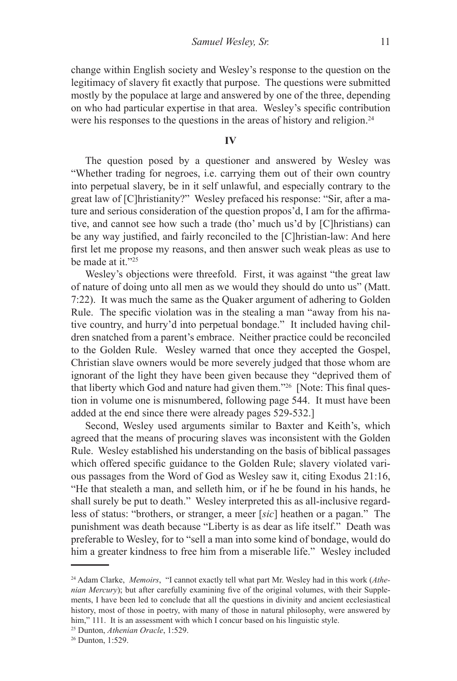change within English society and Wesley's response to the question on the legitimacy of slavery fit exactly that purpose. The questions were submitted mostly by the populace at large and answered by one of the three, depending on who had particular expertise in that area. Wesley's specific contribution were his responses to the questions in the areas of history and religion.<sup>24</sup>

**IV**

The question posed by a questioner and answered by Wesley was "Whether trading for negroes, i.e. carrying them out of their own country into perpetual slavery, be in it self unlawful, and especially contrary to the great law of [C]hristianity?" Wesley prefaced his response: "Sir, after a mature and serious consideration of the question propos'd, I am for the affirmative, and cannot see how such a trade (tho' much us'd by [C]hristians) can be any way justified, and fairly reconciled to the [C]hristian-law: And here first let me propose my reasons, and then answer such weak pleas as use to be made at it."25

Wesley's objections were threefold. First, it was against "the great law of nature of doing unto all men as we would they should do unto us" (Matt. 7:22). It was much the same as the Quaker argument of adhering to Golden Rule. The specific violation was in the stealing a man "away from his native country, and hurry'd into perpetual bondage." It included having children snatched from a parent's embrace. Neither practice could be reconciled to the Golden Rule. Wesley warned that once they accepted the Gospel, Christian slave owners would be more severely judged that those whom are ignorant of the light they have been given because they "deprived them of that liberty which God and nature had given them."26 [Note: This final question in volume one is misnumbered, following page 544. It must have been added at the end since there were already pages 529-532.]

Second, Wesley used arguments similar to Baxter and Keith's, which agreed that the means of procuring slaves was inconsistent with the Golden Rule. Wesley established his understanding on the basis of biblical passages which offered specific guidance to the Golden Rule; slavery violated various passages from the Word of God as Wesley saw it, citing Exodus 21:16, "He that stealeth a man, and selleth him, or if he be found in his hands, he shall surely be put to death." Wesley interpreted this as all-inclusive regardless of status: "brothers, or stranger, a meer [*sic*] heathen or a pagan." The punishment was death because "Liberty is as dear as life itself." Death was preferable to Wesley, for to "sell a man into some kind of bondage, would do him a greater kindness to free him from a miserable life." Wesley included

<sup>24</sup> Adam Clarke, *Memoirs*, "I cannot exactly tell what part Mr. Wesley had in this work (*Athenian Mercury*); but after carefully examining five of the original volumes, with their Supplements, I have been led to conclude that all the questions in divinity and ancient ecclesiastical history, most of those in poetry, with many of those in natural philosophy, were answered by him," 111. It is an assessment with which I concur based on his linguistic style.

<sup>25</sup> Dunton, *Athenian Oracle*, 1:529.

<sup>26</sup> Dunton, 1:529.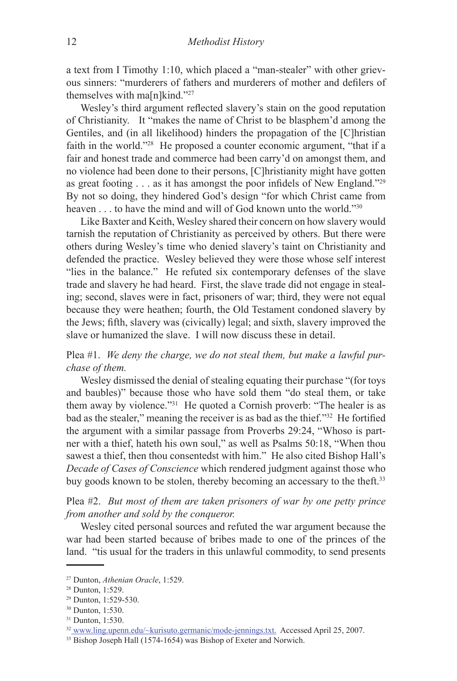a text from I Timothy 1:10, which placed a "man-stealer" with other grievous sinners: "murderers of fathers and murderers of mother and defilers of themselves with ma<sub>[n]kind."27</sub>

Wesley's third argument reflected slavery's stain on the good reputation of Christianity. It "makes the name of Christ to be blasphem'd among the Gentiles, and (in all likelihood) hinders the propagation of the [C]hristian faith in the world."28 He proposed a counter economic argument, "that if a fair and honest trade and commerce had been carry'd on amongst them, and no violence had been done to their persons, [C]hristianity might have gotten as great footing . . . as it has amongst the poor infidels of New England."<sup>29</sup> By not so doing, they hindered God's design "for which Christ came from heaven . . . to have the mind and will of God known unto the world."<sup>30</sup>

Like Baxter and Keith, Wesley shared their concern on how slavery would tarnish the reputation of Christianity as perceived by others. But there were others during Wesley's time who denied slavery's taint on Christianity and defended the practice. Wesley believed they were those whose self interest "lies in the balance." He refuted six contemporary defenses of the slave trade and slavery he had heard. First, the slave trade did not engage in stealing; second, slaves were in fact, prisoners of war; third, they were not equal because they were heathen; fourth, the Old Testament condoned slavery by the Jews; fifth, slavery was (civically) legal; and sixth, slavery improved the slave or humanized the slave. I will now discuss these in detail.

Plea #1. *We deny the charge, we do not steal them, but make a lawful purchase of them.*

Wesley dismissed the denial of stealing equating their purchase "(for toys and baubles)" because those who have sold them "do steal them, or take them away by violence."31 He quoted a Cornish proverb: "The healer is as bad as the stealer," meaning the receiver is as bad as the thief."32 He fortified the argument with a similar passage from Proverbs 29:24, "Whoso is partner with a thief, hateth his own soul," as well as Psalms 50:18, "When thou sawest a thief, then thou consentedst with him." He also cited Bishop Hall's *Decade of Cases of Conscience* which rendered judgment against those who buy goods known to be stolen, thereby becoming an accessary to the theft.<sup>33</sup>

Plea #2. *But most of them are taken prisoners of war by one petty prince from another and sold by the conqueror.*

Wesley cited personal sources and refuted the war argument because the war had been started because of bribes made to one of the princes of the land. "tis usual for the traders in this unlawful commodity, to send presents

<sup>27</sup> Dunton, *Athenian Oracle*, 1:529.

<sup>28</sup> Dunton, 1:529.

<sup>29</sup> Dunton, 1:529-530.

<sup>30</sup> Dunton, 1:530.

<sup>31</sup> Dunton, 1:530.

<sup>32</sup> www.ling.upenn.edu/~kurisuto.germanic/mode-jennings.txt. Accessed April 25, 2007.

<sup>33</sup> Bishop Joseph Hall (1574-1654) was Bishop of Exeter and Norwich.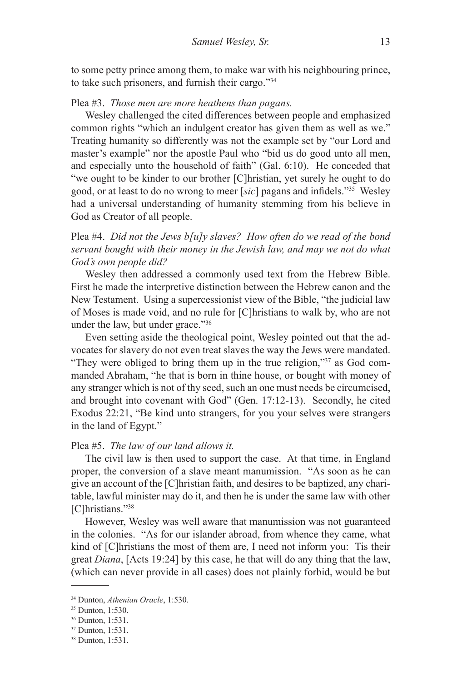to some petty prince among them, to make war with his neighbouring prince, to take such prisoners, and furnish their cargo."34

#### Plea #3. *Those men are more heathens than pagans.*

Wesley challenged the cited differences between people and emphasized common rights "which an indulgent creator has given them as well as we." Treating humanity so differently was not the example set by "our Lord and master's example" nor the apostle Paul who "bid us do good unto all men, and especially unto the household of faith" (Gal. 6:10). He conceded that "we ought to be kinder to our brother [C]hristian, yet surely he ought to do good, or at least to do no wrong to meer [*sic*] pagans and infidels."35 Wesley had a universal understanding of humanity stemming from his believe in God as Creator of all people.

Plea #4. *Did not the Jews b[u]y slaves? How often do we read of the bond servant bought with their money in the Jewish law, and may we not do what God's own people did?*

Wesley then addressed a commonly used text from the Hebrew Bible. First he made the interpretive distinction between the Hebrew canon and the New Testament. Using a supercessionist view of the Bible, "the judicial law of Moses is made void, and no rule for [C]hristians to walk by, who are not under the law, but under grace."36

Even setting aside the theological point, Wesley pointed out that the advocates for slavery do not even treat slaves the way the Jews were mandated. "They were obliged to bring them up in the true religion,"37 as God commanded Abraham, "he that is born in thine house, or bought with money of any stranger which is not of thy seed, such an one must needs be circumcised, and brought into covenant with God" (Gen. 17:12-13). Secondly, he cited Exodus 22:21, "Be kind unto strangers, for you your selves were strangers in the land of Egypt."

## Plea #5. *The law of our land allows it.*

The civil law is then used to support the case. At that time, in England proper, the conversion of a slave meant manumission. "As soon as he can give an account of the [C]hristian faith, and desires to be baptized, any charitable, lawful minister may do it, and then he is under the same law with other [C]hristians."<sup>38</sup>

However, Wesley was well aware that manumission was not guaranteed in the colonies. "As for our islander abroad, from whence they came, what kind of [C]hristians the most of them are, I need not inform you: Tis their great *Diana*, [Acts 19:24] by this case, he that will do any thing that the law, (which can never provide in all cases) does not plainly forbid, would be but

<sup>34</sup> Dunton, *Athenian Oracle*, 1:530.

<sup>35</sup> Dunton, 1:530.

<sup>36</sup> Dunton, 1:531.

<sup>37</sup> Dunton, 1:531.

<sup>38</sup> Dunton, 1:531.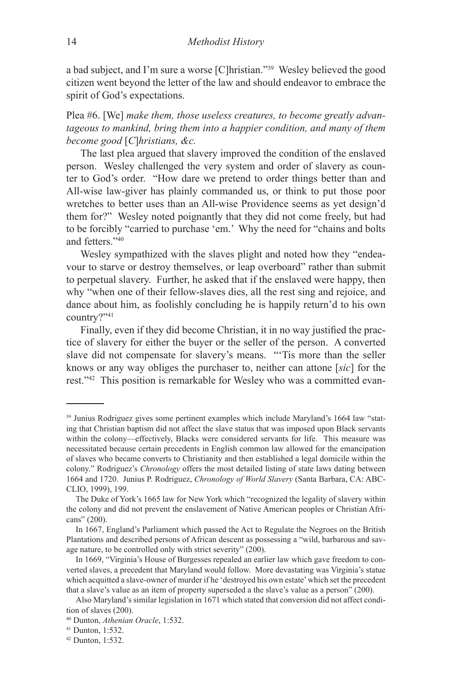a bad subject, and I'm sure a worse [C]hristian."39 Wesley believed the good citizen went beyond the letter of the law and should endeavor to embrace the spirit of God's expectations.

Plea #6. [We] *make them, those useless creatures, to become greatly advantageous to mankind, bring them into a happier condition, and many of them become good* [*C*]*hristians, &c.*

The last plea argued that slavery improved the condition of the enslaved person. Wesley challenged the very system and order of slavery as counter to God's order. "How dare we pretend to order things better than and All-wise law-giver has plainly commanded us, or think to put those poor wretches to better uses than an All-wise Providence seems as yet design'd them for?" Wesley noted poignantly that they did not come freely, but had to be forcibly "carried to purchase 'em.' Why the need for "chains and bolts and fetters<sup>"40</sup>

Wesley sympathized with the slaves plight and noted how they "endeavour to starve or destroy themselves, or leap overboard" rather than submit to perpetual slavery. Further, he asked that if the enslaved were happy, then why "when one of their fellow-slaves dies, all the rest sing and rejoice, and dance about him, as foolishly concluding he is happily return'd to his own country?"41

Finally, even if they did become Christian, it in no way justified the practice of slavery for either the buyer or the seller of the person. A converted slave did not compensate for slavery's means. "'Tis more than the seller knows or any way obliges the purchaser to, neither can attone [*sic*] for the rest."42 This position is remarkable for Wesley who was a committed evan-

<sup>39</sup> Junius Rodriguez gives some pertinent examples which include Maryland's 1664 law "stating that Christian baptism did not affect the slave status that was imposed upon Black servants within the colony—effectively, Blacks were considered servants for life. This measure was necessitated because certain precedents in English common law allowed for the emancipation of slaves who became converts to Christianity and then established a legal domicile within the colony." Rodriguez's *Chronology* offers the most detailed listing of state laws dating between 1664 and 1720. Junius P. Rodriguez, *Chronology of World Slavery* (Santa Barbara, CA: ABC-CLIO, 1999), 199.

The Duke of York's 1665 law for New York which "recognized the legality of slavery within the colony and did not prevent the enslavement of Native American peoples or Christian Africans" (200).

In 1667, England's Parliament which passed the Act to Regulate the Negroes on the British Plantations and described persons of African descent as possessing a "wild, barbarous and savage nature, to be controlled only with strict severity" (200).

In 1669, "Virginia's House of Burgesses repealed an earlier law which gave freedom to converted slaves, a precedent that Maryland would follow. More devastating was Virginia's statue which acquitted a slave-owner of murder if he 'destroyed his own estate' which set the precedent that a slave's value as an item of property superseded a the slave's value as a person" (200).

Also Maryland's similar legislation in 1671 which stated that conversion did not affect condition of slaves (200).

<sup>40</sup> Dunton, *Athenian Oracle*, 1:532.

<sup>41</sup> Dunton, 1:532.

<sup>42</sup> Dunton, 1:532.